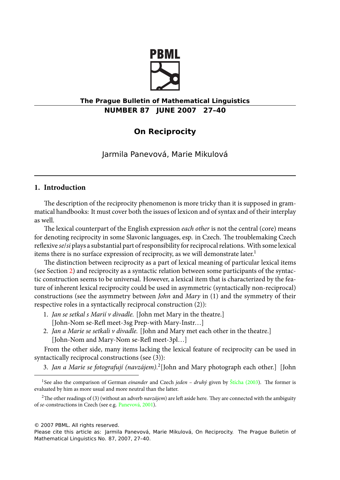

# **The Prague Bulletin of Mathematical Linguistics NUMBER 87 JUNE 2007 27–40**

# **On Reciprocity**

Jarmila Panevová, Marie Mikulová

## **1. Introd[uct](#page-1-0)ion**

The description of the reciprocity phenomenon is more tricky than it is supposed in grammatical handbooks: It must cover both the issues of lexicon and of syntax and of their interplay as well.

The lexical counterpart of the English expression *each other* is not the central (core) means for denoting reciprocity in some Slavonic languages, esp. in Czech. The troublemaking Czech reflexive *se*/*si* plays a substantial part of responsibility for reciprocal relations. With some lexical items there is no surface expression of reciprocity, as we will demonstrate later.<sup>1</sup>

The distinction between reciprocity as a part of lexical meaning of particular lexical items (see Section 2) and reciprocity as a syntactic relation between some participants of the syntactic construction seems to be universal. However, a lexical item that is characterized by the feature of inherent lexical reciprocity could be used in asymmetric (syntactically non-reciprocal) constructions (see the asymmetry between *John* and *Mary* in (1) and the symmetry of their respective roles in a syntactically reciprocal construction (2)):

- 1. *Jan se setkal s Marií v divadle.* [John met Mary in the theatre.] [John-Nom se-Refl me[et-3sg Prep-w](#page-12-0)ith Mary-Instr…]
- 2. *Jan a Marie se setkali v divadle.* [John and Mary met each other in the theatre.] [John-Nom and Mary-Nom se-Refl meet-3pl…]

From the other side, many items lacking the lexical feature of reciprocity can be used in syntactically reciprocal constructions (see (3)):

3. *Jan a Marie se fotografují (navzájem).*<sup>2</sup> [John and Mary photograph each other.] [John

© 2007 PBML. All rights reserved.

<sup>&</sup>lt;sup>1</sup>See also the comparison of German *einander* and Czech *jeden - druhý* given by Štícha (2003). The former is evaluated by him as more usual and more neutral than the latter.

<sup>&</sup>lt;sup>2</sup>The other readings of (3) (without an adverb *navzájem*) are left aside here. They are connected with the ambiguity of *se*-constructions in Czech (see e.g. Panevová, 2001).

Please cite this article as: Jarmila Panevová, Marie Mikulová, On Reciprocity. The Prague Bulletin of Mathematical Linguistics No. 87, 2007, 27–40.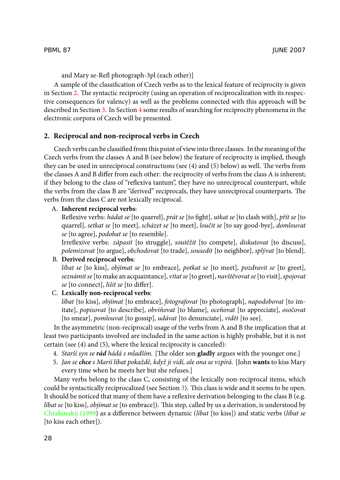<span id="page-1-0"></span>and Mary se-Refl photograph-3pl (each other)]

A sample of the classification of Czech verbs as to the lexical feature of reciprocity is given in Section 2. The syntactic reciprocity (using an operation of reciprocalization with its respective consequences for valency) as well as the problems connected with this approach will be described in Section 3. In Section 4 some results of searching for reciprocity phenomena in the electronic corpora of Czech will be presented.

### **2. Reciprocal and non-reciprocal verbs in Czech**

Czech verbs can be classified from this point of view into three classes. In the meaning of the Czech verbs from the classes A and B (see below) the feature of reciprocity is implied, though they can be used in unreciprocal constructions (see (4) and (5) below) as well. The verbs from the classes A and B differ from each other: the reciprocity of verbs from the class A is inherent; if they belong to the class of "reflexiva tantum", they have no unreciprocal counterpart, while the verbs from the class B are "derived" reciprocals, they have unreciprocal counterparts. The verbs from the class C are not lexically reciprocal.

## A. **Inherent reciprocal verbs**:

Reflexive verbs: *hádat se* [to quarrel], *prát se* [to fight], *utkat se* [to clash with], *přít se* [to quarrel], *setkat se* [to meet], *scházet se* [to meet], *loučit se* [to say good-bye], *domlouvat se* [to agree], *podobat se* [to resemble].

Irreflexive verbs: *zápasit* [to struggle], *soutěžit* [to compete], *diskutovat* [to discuss], *polemizovat* [to argue], *obchodovat* [to trade], *sousedit* [to neighbor], *splývat* [to blend].

# B. **Derived reciprocal verbs**:

*líbat se* [to kiss], *objímat se* [to embrace], *potkat se* [to meet], *pozdravit se* [to greet], *seznámit se* [to make an acquaintance], *vítat se* [to greet], *navštěvovat se* [to visit],*spojovat se* [to connect], *lišit se* [to differ].

## C. **Lexically non-reciprocal verbs**:

*líbat* [to kiss], *objímat* [to embrace], *fotografovat* [to photograph], *napodobovat* [to imitate], *popisovat* [to describe], *obviňovat* [[to](#page-2-0) blame], *oceňovat* [to appreciate], *osočovat* [to smear], *pomlouvat* [to gossip], *udávat* [to denunciate], *vidět* [to see].

In the asymmetric (non-reciprocal) usage of the verbs from A and B the implication that at [least two participan](#page-11-0)ts involved are included in the same action is highly probable, but it is not certain (see (4) and (5), where the lexical reciprocity is canceled):

- 4. *Starší syn se rád hádá s mladším.* [The older son **gladly** argues with the younger one.]
- 5. *Jan se chce s Marií líbat pokaždé, když ji vidí, ale ona se vzpírá.* [John **wants** to kiss Mary every time when he meets her but she refuses.]

Many verbs belong to the class C, consisting of the lexically non-reciprocal items, which could be syntactically reciprocalized (see Section 3). This class is wide and it seems to be open. It should be noticed that many of them have a reflexive derivation belonging to the class B (e.g. *líbat se* [to kiss], *objímat se* [to embrace]). This step, called by us a derivation, is understood by Chrakovskij (1999) as a difference between dynamic (*líbat* [to kiss]) and static verbs (*líbat se* [to kiss each other]).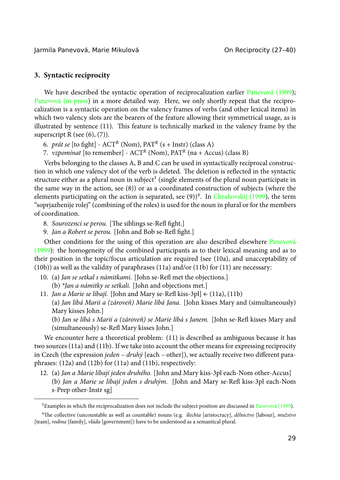<span id="page-2-0"></span>Jarmila Panevová, Marie Mikulová On Reciprocity (27–40)

# **3. Syntactic reciprocity**

We have described the syntactic operation of reciprocalization earlier Panevová (1999); Panevová (in press) in a more detailed way. Here, we only shortly repeat that the reciprocalization is a syntactic operation on the valency frames of verbs (and other lexical items) in which two valency slots are the bearers of the feature allowing [their symmetrical u](#page-11-0)sage, as is illustrated by sentence  $(11)$ . This feature is technically marked in the valency frame by the superscript R (see  $(6)$ ,  $(7)$ ).

6. *prát se* [to fight] - ACT*<sup>R</sup>* (Nom), PAT*<sup>R</sup>* (s + Instr) (class A)

7. *vzpomínat* [to remember] - ACT*<sup>R</sup>* (Nom), PAT*<sup>R</sup>* (na + Accus) (class B)

Verbs belonging to the classes A, B and C can be used in syntactically reciprocal [construc](#page-12-1)[tion in](#page-12-1) which one valency slot of the verb is deleted. The deletion is reflected in the syntactic structure either as a plural noun in subject $^3$  (single elements of the plural noun participate in the same way in the action, see (8)) or as a coordinated construction of subjects (where the elements participating on the action is separated, see (9))<sup>4</sup>. In Chrakovskij (1999), the term "soprjazhenije rolej" (combining of the roles) is used for the noun in plural or for the members of coordination.

- 8. Sourozenci se perou. [The siblings se-Refl fight.]
- 9. *Jan a Robert se perou.* [John and Bob se-Refl fight.]

Other conditions for the using of this operation are also described elsewhere Panevová (1999): the homogeneity of the combined participants as to their lexical meaning and as to their position in the topic/focus articulation are required (see (10a), and unacceptability of (10b)) as well as the validity of paraphrases (11a) and/or (11b) for (11) are necessary:

- 10. (a) *Jan se setkal s námitkami.* [John se-Refl met the objections.]
	- (b) *\*Jan a námitky se setkali.* [John and objections met.]
- 11. *Jan a Marie se líbají.* [John and Mary se-Refl kiss-3pl] ← (11a), (11b) (a) *Jan líbá Marii a (zároveň) Marie líbá Jana.* [John kisses Mary and (simultaneously) Mary kisses John.]

(b) *Jan se líbá s Marií a (zároveň) se Marie líbá s Janem.* [John se-Refl kisses Mary and (simultaneously) se-Refl Mary kisses John.]

We encounter here a theoretical problem: (11) is described as ambiguous because it has two sources (11a) and (11b). If we take into account the other means for expressing reciprocity in Czech (the expression *jeden – druhý* [each – other]), we actually receive two different paraphrases: (12a) and (12b) for (11a) and (11b), respectively:

12. (a) *Jan a Marie líbají jeden druhého.* [John and Mary kiss-3pl each-Nom other-Accus] (b) *Jan a Marie se líbají jeden s druhým.* [John and Mary se-Refl kiss-3pl each-Nom s-Prep other-Instr sg]

<sup>&</sup>lt;sup>3</sup>Examples in which the reciprocalization does not include the subject position are discussed in Panevová (1999).

<sup>4</sup>e collective (uncountable as well as countable) nouns (e.g. *šlechta* [aristocracy], *dělnictvo* [labour], *mužstvo* [team], *rodina* [family], *vláda* [government]) have to be understood as a semantical plural.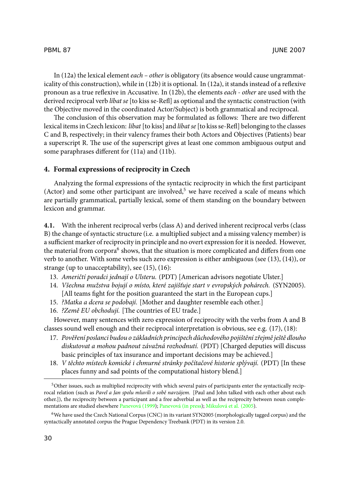In (12a) the lexical element *each – other* is obligatory (its absence would cause ungrammaticality of this construction), while in (12b) it is optional. In (12a), it stands instead of a reflexive pronoun as a true reflexive in Accusative. In (12b), the elements *each - other* are used with the derived reciprocal verb *líbat se* [to kiss se-Refl] as optional and the syntactic construction (with the Objective moved in the coordinated Actor/Subject) is both grammatical and reciprocal.

The conclusion of this observation may be formulated as follows: There are two different lexical items in Czech lexicon: *líbat* [to kiss] and *líbat se* [to kiss se-Refl] belonging to the classes C and B, respectively; in their valency frames their both Actors and Objectives (Patients) bear a superscript R. The use of the superscript gives at least one common ambiguous output and some paraphrases different for (11a) and (11b).

## **4. Formal expressions of reciprocity in Czech**

Analyzing the formal expressions of the syntactic reciprocity in which the first participant (Actor) and some other participant are involved,<sup>5</sup> we have received a scale of means which are partially grammatical, partially lexical, some of them standing on the boundary between lexicon and grammar.

**4.1.** With the inherent reciprocal verbs (class A) and derived inherent reciprocal verbs (class B) the change of syntactic structure (i.e. a multiplied subject and a missing valency member) is a sufficient marker of reciprocity in principle and no overt expression for it is needed. However, the material from corpora<sup>6</sup> shows, that the situation is more complicated and differs from one verb to another. With some verbs such zero expression is either ambiguous (see (13), (14)), or strange (up to unacceptability), see (15), (16):

- 13. *Američtí poradci jednají o Ulsteru.* (PDT) [American advisors negotiate Ulster.]
- 14. *Všechna mužstva bojují o místo, které zajišťuje start v evropských pohárech.* (SYN2005). [All teams fight for the position guaranteed the start in the European cups.]
- 15. *?Matka a dcera se podobají.* [Mother and daughter resemble each other.]
- 16. *?Země EU obchodují.* [The countries of EU trade.]

However, many sentences with zero expression of reciprocity with the verbs from A and B classes sound well enough [and their reci](#page-12-1)[procal interpreta](#page-12-2)[tion is obvious, see](#page-12-3) e.g. (17), (18):

- 17. *Pověření poslanci budou o základních principech důchodového pojištění zřejmě ještě dlouho diskutovat a mohou padnout závažná rozhodnutí.* (PDT) [Charged deputies will discuss basic principles of tax insurance and important decisions may be achieved.]
- 18. *V těchto místech komické i chmurné stránky počítačové historie splývají.* (PDT) [In these places funny and sad points of the computational history blend.]

<sup>5</sup>Other issues, such as multiplied reciprocity with which several pairs of participants enter the syntactically reciprocal relation (such as *Pavel a Jan spolu mluvili o sobě navzájem.* [Paul and John talked with each other about each other.]), the reciprocity between a participant and a free adverbial as well as the reciprocity between noun complementations are studied elsewhere Panevová (1999); Panevová (in press); Mikulová et al. (2005).

<sup>6</sup>We have used the Czech National Corpus (CNC) in its variant SYN2005 (morphologically tagged corpus) and the syntactically annotated corpus the Prague Dependency Treebank (PDT) in its version 2.0.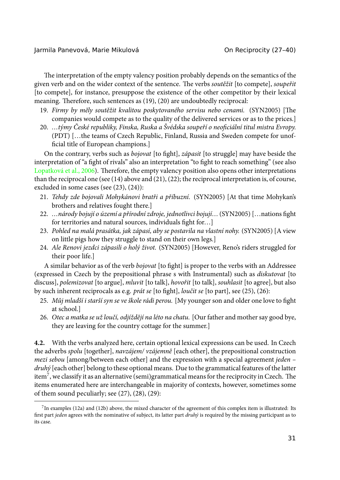Jarmila Panevová, Marie Mikulová On Reciprocity (27–40)

The interpretation of the empty valency position probably depends on the semantics of the given verb and on the wider context of the sentence. The verbs *soutěžit* [to compete], *soupeřit* [\[to compete\], for inst](#page-12-4)ance, presuppose the existence of the other competitor by their lexical meaning. Therefore, such sentences as (19), (20) are undoubtedly reciprocal:

- 19. Firmy by měly soutěžit kvalitou poskytovaného servisu nebo cenami. (SYN2005) [The companies would compete as to the quality of the delivered services or as to the prices.]
- 20. *…týmy České republiky, Finska, Ruska a Švédska soupeří o neoficiální titul mistra Evropy.* (PDT) […the teams of Czech Republic, Finland, Russia and Sweden compete for unofficial title of European champions.]

On the contrary, verbs such as *bojovat* [to fight], *zápasit* [to struggle] may have beside the interpretation of "a fight of rivals" also an interpretation "to fight to reach something" (see also Lopatková et al., 2006). Therefore, the empty valency position also opens other interpretations than the reciprocal one (see (14) above and (21), (22); the reciprocal interpretation is, of course, excluded in some cases (see (23), (24)):

- 21. *Tehdy zde bojovali Mohykánovi bratři a příbuzní.* (SYN2005) [At that time Mohykan's brothers and relatives fought there.]
- 22. *…národy bojují o území a přírodní zdroje, jednotlivci bojují…* (SYN2005) […nations fight for territories and natural sources, individuals fight for…]
- 23. *Pohled na malá prasátka, jak zápasí, aby se postavila na vlastní nohy.* (SYN2005) [A view on little pigs how they struggle to stand on their own legs.]
- 24. *Ale Renovi jezdci zápasili o holý život.* (SYN2005) [However, Reno's riders struggled for their poor life.]

A similar behavior as of the verb *bojovat* [to fight] is proper to the verbs with an Addressee (expressed in Czech by the prepositional phrase s with Instrumental) such as *diskutovat* [to discuss], *polemizovat* [to argue], *mluvit* [to talk], *hovořit* [to talk], *souhlasit* [to agree], but also by such inherent reciprocals as e.g. *prát se* [to fight], *loučit se* [to part], see (25), (26):

- 25. *Můj mladší i starší syn se ve škole rádi perou.* [My younger son and older one love to fight at school.]
- 26. *Otec a matka se už loučí, odjíždějí na léto na chatu.* [Our father and mother say good bye, they are leaving for the country cottage for the summer.]

**4.2.** With the verbs analyzed here, certain optional lexical expressions can be used. In Czech the adverbs *spolu* [together], *navzájem/ vzájemně* [each other], the prepositional construction *mezi sebou* [among/between each other] and the expression with a special agreement *jeden – druhý* [each other] belong to these optional means. Due to the grammatical features of the latter item<sup>7</sup>, we classify it as an alternative (semi)grammatical means for the reciprocity in Czech. The items enumerated here are interchangeable in majority of contexts, however, sometimes some of them sound peculiarly; see (27), (28), (29):

<sup>7</sup> In examples (12a) and (12b) above, the mixed character of the agreement of this complex item is illustrated: Its first part *jeden* agrees with the nominative of subject, its latter part *druhý* is required by the missing participant as to its case.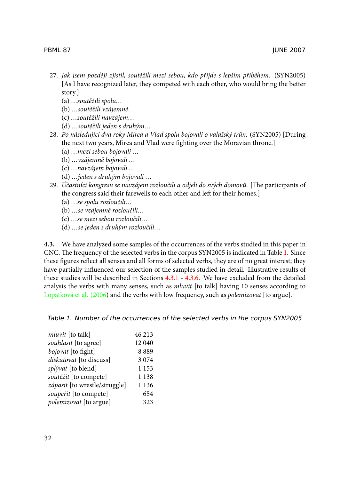- 27. *Jak jsem později zjistil, soutěžili mezi sebou, kdo přijde s lepším příběhem.* (SYN2005) [As I have recognized later, they competed with each other, who would bring the better story.]
	- (a) *…soutěžili spolu…*
	- (b) *…soutěžili vzájemně…*
	- (c) *…soutěžili navzájem…*
	- (d) *…soutěžili jeden s druhým…*
- 28. *Po následující dva roky Mirea a Vlad spolu bojovali o valašský trůn.* (SYN2005) [During the next two years, Mirea and Vlad were fighting over the Moravian throne.]
	- (a) *…mezi sebou bojovali …*
	- (b) *…vzájemně bojovali …*
	- (c) *…navzájem bojovali …*
	- (d) *…jeden s druhým bojovali …*
- <span id="page-5-0"></span>29. Účastnící kongresu se navzájem rozloučili a odjeli do svých domovů. [The participants of the congress said their farewells to e[ach ot](#page-6-0)h[er and](#page-7-0) left for their homes.]
	- (a) *…se spolu rozloučili…*
	- (b) *…se vzájemně rozloučili…*
	- (c) *[…se mezi seb](#page-12-4)ou rozloučili…*
	- (d) *…se jeden s druhým rozloučili…*

**4.3.** We have analyzed some samples of the occurrences of the verbs studied in this paper in CNC. The frequency of the selected verbs in the corpus  $SYN2005$  is indicated in Table 1. Since these figures reflect all senses and all forms of selected verbs, they are of no great interest; they have partially influenced our selection of the samples studied in detail. Illustrative results of these studies will be described in Sections 4.3.1 - 4.3.6. We have excluded from the detailed analysis the verbs with many senses, such as *mluvit* [to talk] having 10 senses according to Lopatková et al. (2006) and the verbs with low frequency, such as *polemizovat* [to argue].

| Table 1. Number of the occurrences of the selected verbs in the corpus SYN2005 |  |  |  |
|--------------------------------------------------------------------------------|--|--|--|
|--------------------------------------------------------------------------------|--|--|--|

| mluvit [to talk]              | 46 213  |
|-------------------------------|---------|
| souhlasit [to agree]          | 12 040  |
| bojovat [to fight]            | 8889    |
| diskutovat [to discuss]       | 3074    |
| <i>splývat</i> [to blend]     | 1 1 5 3 |
| soutěžit [to compete]         | 1 1 3 8 |
| zápasit [to wrestle/struggle] | 1 1 3 6 |
| soupeřit [to compete]         | 654     |
| polemizovat [to argue]        | 323     |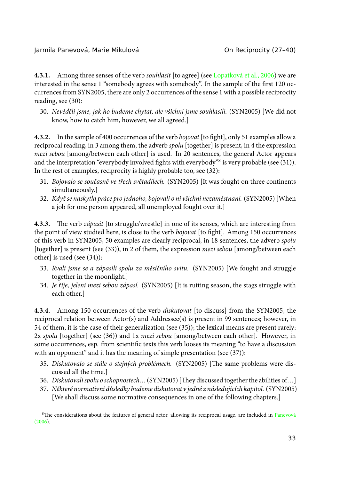<span id="page-6-0"></span>Jarmila Panevová, Marie Mikulová Chronicová, On Reciprocity (27-40)

**4.3.1.** Among three senses of the verb *souhlasit* [to agree] (see Lopatková et al., 2006) we are interested in the sense 1 "somebody agrees with somebody". In the sample of the first 120 occurrences from SYN2005, there are only 2 occurrences of the sense 1 with a possible reciprocity reading, see (30):

30. *Nevěděli jsme, jak ho budeme chytat, ale všichni jsme souhlasili.* (SYN2005) [We did not know, how to catch him, however, we all agreed.]

**4.3.2.** In the sample of 400 occurrences of the verb *bojovat* [to fight], only 51 examples allow a reciprocal reading, in 3 among them, the adverb *spolu* [together] is present, in 4 the expression *mezi sebou* [among/between each other] is used. In 20 sentences, the general Actor appears and the interpretation "everybody involved fights with everybody"<sup>8</sup> is very probable (see (31)). In the rest of examples, reciprocity is highly probable too, see (32):

- 31. *Bojovalo se současně ve třech světadílech.* (SYN2005) [It was fought on three continents simultaneously.]
- 32. *Když se naskytla práce pro jednoho, bojovali o ni všichni nezaměstnaní.* (SYN2005) [When a job for one person appeared, all unemployed fought over it.]

**4.3.3.** The verb *zápasit* [to struggle/wrestle] in one of its senses, which are interesting from the point of view studied here, is close to the verb *bojovat* [to fight]. Among 150 occurrences of this verb in SYN2005, 50 examples are clearly reciprocal, in 18 sentences, the adverb *spolu* [together] is present (see (33)), in 2 of them, the expression *mezi sebou* [among/between each other] is used (see (34)):

- 33. *Rvali jsme se a zápasili spolu za měsíčního svitu.* (SYN2005) [We fought and struggle together in the moonlight.]
- 34. *Je říje, jeleni mezi sebou zápasí.* (SYN2005) [It is rutting season, the stags struggle with each other.]

**4.3.4.** Among 150 occurrences of the verb *diskutovat* [to discuss] from the SYN2005, the reciprocal relation between Actor(s) and Addressee(s) is present in 99 sentences; however, in 54 of them, it is the case of their generalization (see (35)); the lexical means are present rarely: 2x *spolu* [together] (see (36)) and 1x *mezi sebou* [among/between each other]. Ho[wever, in](#page-12-5) [some](#page-12-5) occurrences, esp. from scientific texts this verb looses its meaning "to have a discussion with an opponent" and it has the meaning of simple presentation (see (37)):

- 35. Diskutovalo se stále o stejných problémech. (SYN2005) [The same problems were discussed all the time.]
- 36. *Diskutovali spolu o schopnostech...* (SYN2005) [They discussed together the abilities of...]
- 37. *Některé normativní důsledky budeme diskutovat v jedné z následujících kapitol.* (SYN2005) [We shall discuss some normative consequences in one of the following chapters.]

<sup>&</sup>lt;sup>8</sup>The considerations about the features of general actor, allowing its reciprocal usage, are included in Panevová (2006).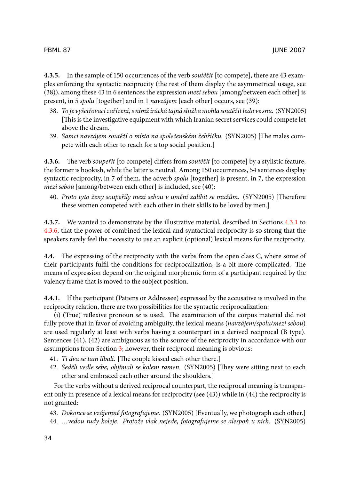<span id="page-7-0"></span>**4.3.5.** In the sample of 150 occurrences of the verb *soutěžit* [to compete], there are 43 examples enforcing the syntactic reciprocity (the rest of them display the asymmetrical usage, see (38)), among these 43 in 6 sentences the expression *mezi sebou* [among/between each other] is present, in 5 *spolu* [together] and in 1 *navzájem* [each other] occurs, see (39):

- 38. *To je vyšetřovací zařízení, s nímž irácká tajná služba mohla soutěžit leda ve snu.* (SYN2005) [This is the investigative equipment with which Iranian secret services could compete let above the dream.]
- 39. Samci navzájem soutěží o místo na společenském žebříčku. (SYN2005) [The males compete with each other to reach for a top social position.]

**4.3.6.** The verb *soupeřit* [to compete] differs from *soutěžit* [to compete] by a stylistic feature, the former is bookish, while the latter is neutral. Among 150 occurrences, 54 sentences display syntactic reciprocity, in 7 of them, the adverb *spolu* [together] is present, in 7, the expression *mezi sebou* [among/between each other] is included, see (40):

40. Proto tyto ženy soupeřily mezi sebou v umění zalíbit se mužům. (SYN2005) [Therefore these women competed with each other in their skills to be loved by men.]

**4.3.7.** We wanted to demonstrate by the illustrative material, described in Sections 4.3.1 to 4.3.6, that the power of combined the lexical and syntactical reciprocity is so strong that the speakers rarely feel the necessity to use an explicit (optional) lexical means for the reciprocity.

**4.4.** The expressing of the reciprocity with the verbs from the open class C, where some of their participants fulfil the conditions for reciprocalization, is a bit more complicated. The means of expression depe[nd](#page-2-0) on the original morphemic form of a participant required by the valency frame that is moved to the subject position.

**4.4.1.** If the participant (Patiens or Addressee) expressed by the accusative is involved in the reciprocity relation, there are two possibilities for the syntactic reciprocalization:

(i) (True) reflexive pronoun *se* is used. The examination of the corpus material did not fully prove that in favor of avoiding ambiguity, the lexical means (*navzájem/spolu/mezi sebou*) are used regularly at least with verbs having a counterpart in a derived reciprocal (B type). Sentences (41), (42) are ambiguous as to the source of the reciprocity in accordance with our assumptions from Section 3; however, their reciprocal meaning is obvious:

- 41. *Ti dva se tam líbali*. [The couple kissed each other there.]
- 42. Seděli vedle sebe, objímali se kolem ramen. (SYN2005) [They were sitting next to each other and embraced each other around the shoulders.]

For the verbs without a derived reciprocal counterpart, the reciprocal meaning is transparent only in presence of a lexical means for reciprocity (see (43)) while in (44) the reciprocity is not granted:

43. *Dokonce se vzájemně fotografujeme.* (SYN2005) [Eventually, we photograph each other.] 44. *…vedou tudy koleje. Protože vlak nejede, fotografujeme se alespoň u nich.* (SYN2005)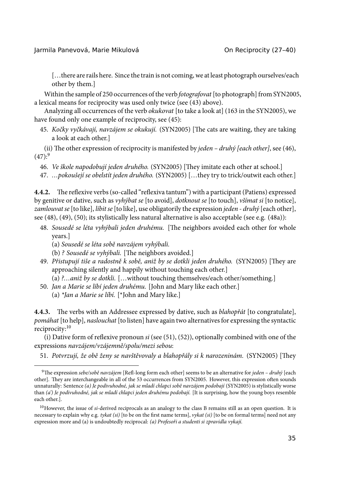[…there are rails here. Since the train is not coming, we at least photograph ourselves/each other by them.]

Within the sample of 250 occurrences of the verb *fotografovat* [to photograph] from SYN2005, a lexical means for reciprocity was used only twice (see (43) above).

Analyzing all occurrences of the verb *okukovat* [to take a look at] (163 in the SYN2005), we have found only one example of reciprocity, see (45):

45. *Kočky vyčkávají, navzájem se okukují.* (SYN2005) [The cats are waiting, they are taking a look at each other.]

(ii) The other expression of reciprocity is manifested by *jeden – druhý [each other]*, see (46),  $(47):^{9}$ 

46. *Ve škole napodobují jeden druhého.* (SYN2005) [They imitate each other at school.]

47. *…pokoušejí se obelstít jeden druhého.* (SYN2005) […they try to trick/outwit each other.]

**4.4.2.** The reflexive verbs (so-called "reflexiva tantum") with a participant (Patiens) expressed by genitive or dative, such as *vyhýbat se* [to avoid], *dotknout se* [to touch], *všímat si* [to notice], *zamlouvat se* [to like], *líbit se* [to like], use obligatorily the expression *jeden - druhý* [each other], see (48), (49), (50); its stylistically less natural alternative is also acceptable (see e.g. (48a)):

- 48. Sousedé se léta vyhýbali jeden druhému. [The neighbors avoided each other for whole years.]
	- (a) *Sousedé se léta sobě navzájem vyhýbali.*
	- (b) *? Sousedé se vyhýbali*. [The neighbors avoided.]
- 49. Přistupují tiše a radostně k sobě, aniž by se dotkli jeden druhého. (SYN2005) [They are approaching silently and happily without touching each other.]
- (a) *?…aniž by se dotkli*. […without touching themselves/each other/something.]
- 50. *Jan a Marie se líbí jeden druhému.* [John and Mary like each other.]
	- (a) *\*Jan a Marie se líbí.* [\*John and Mary like.]

<span id="page-8-0"></span>**4.4.3.** The verbs with an Addressee expressed by dative, such as *blahopřát* [to congratulate], *pomáhat* [to help], *naslouchat* [to listen] have again two alternatives for expressing the syntactic reciprocity:<sup>10</sup>

(i) Dative form of reflexive pronoun *si* (see (51), (52)), optionally combined with one of the expressions *navzájem/vzájemně/spolu/mezi sebou*:

51. Potvrzují, že obě ženy se navštěvovaly a blahopřály si k narozeninám. (SYN2005) [They

<sup>9</sup>e expression *sebe/sobě navzájem* [Refl-long form each other] seems to be an alternative for *jeden – druhý* [each other]. They are interchangeable in all of the 53 occurrences from SYN2005. However, this expression often sounds unnaturally: Sentence *(a) Je podivuhodné, jak se mladí chlapci sobě navzájem podobají* (SYN2005) is stylistically worse than *(a') Je podivuhodné, jak se mladí chlapci jeden druhému podobají.* [It is surprising, how the young boys resemble each other.].

<sup>&</sup>lt;sup>10</sup>However, the issue of *si*-derived reciprocals as an analogy to the class B remains still as an open question. It is necessary to explain why e.g. *tykat (si)* [to be on the first name terms], *vykat (si)* [to be on formal terms] need not any expression more and (a) is undoubtedly reciprocal: *(a) Profesoři a studenti si zpravidla vykají.*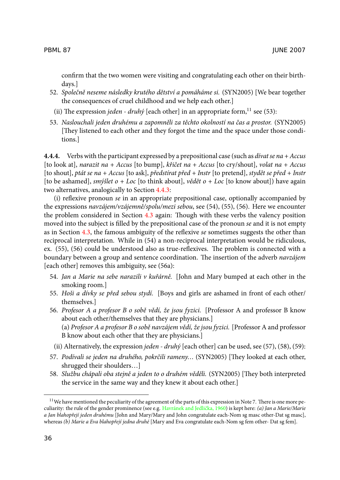confirm that the two women were visiting and congratulating each other on their birthdays.]

- 52. *Společně neseme následky krutého dětství a pomáháme si.* (SYN2005) [We bear together the consequences of cruel childhood and we help each other.]
- (ii) The expression *jeden druhý* [ea[ch oth](#page-8-0)er] in an appropriate form,<sup>11</sup> see (53):
- 53. *Naslouchali jeden druhému a zapomněli za těchto okolností na čas a prostor.* (SYN2005) [They listened to each other [and](#page-5-0) they forgot the time and the space under those conditions.]

**4.4.4.** Verb[s wit](#page-5-0)h the participant expressed by a prepositional case (such as *dívat se na + Accus* [to look at], *narazit na + Accus* [to bump], *křičet na + Accus* [to cry/shout], *volat na + Accus* [to shout], *ptát se na + Accus* [to ask], *předstírat před + Instr* [to pretend], *stydět se před + Instr* [to be ashamed], *smýšlet o + Loc* [to think about], *vědět o + Loc* [to know about]) have again two alternatives, analogically to Section 4.4.3:

(i) reflexive pronoun *se* in an appropriate prepositional case, optionally accompanied by the expressions *navzájem/vzájemně/spolu/mezi sebou*, see (54), (55), (56). Here we encounter the problem considered in Section  $4.3$  again: Though with these verbs the valency position moved into the subject is filled by the prepositional case of the pronoun *se* and it is not empty as in Section 4.3, the famous ambiguity of the reflexive *se* sometimes suggests the other than reciprocal interpretation. While in (54) a non-reciprocal interpretation would be ridiculous, ex.  $(55)$ ,  $(56)$  could be understood also as true-reflexives. The problem is connected with a boundary between a group and sentence coordination. The insertion of the adverb *navzájem* [each other] removes this ambiguity, see (56a):

- 54. *Jan a Marie na sebe narazili v kuřárně.* [John and Mary bumped at each other in the smoking room.]
- 55. *Hoši a dívky se před sebou stydí.* [Boys and girls are ashamed in front of each other/ themselves.]
- 56. *Profesor A a profesor B o sobě vědí, že jsou fyzici.* [Professor A and professor B know about each other/themselves that they are physicians.] (a) *Profesor A a profesor B o sobě na[vzájem vědí, že jsou fyzici](#page-12-6).* [Professor A and professor B know about each other that they are physicians.]
- (ii) Alternatively, the expression *jeden druhý* [each other] can be used, see (57), (58), (59):
- 57. Podívali se jeden na druhého, pokrčili rameny... (SYN2005) [They looked at each other, shrugged their shoulders…]
- 58. Službu chápali oba stejně a jeden to o druhém věděli. (SYN2005) [They both interpreted the service in the same way and they knew it about each other.]

<sup>&</sup>lt;sup>11</sup> We have mentioned the peculiarity of the agreement of the parts of this expression in Note 7. There is one more peculiarity: the rule of the gender prominence (see e.g. Havránek and Jedlička, 1960) is kept here: *(a) Jan a Marie/Marie a Jan blahopřejí jeden druhému* [John and Mary/Mary and John congratulate each-Nom sg masc other-Dat sg masc], whereas *(b) Marie a Eva blahopřejí jedna druhé* [Mary and Eva congratulate each-Nom sg fem other- Dat sg fem].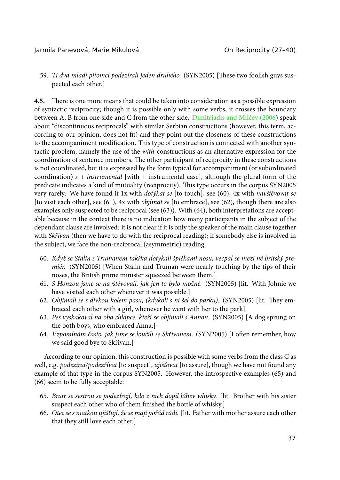#### Jarmila Panevová, Marie Mikulová Chronicová, On Reciprocity (27-40)

59. *Ti dva mladí pitomci podezírali jeden druhého*. (SYN2005) [These two foolish guys suspected each other.]

**4.5.** There is one more means that could be taken into consideration as a possible expression of syntactic reciprocity; though it is possible only with some verbs, it crosses the boundary between A, B from one side and C from the other side. Dimitriadis and Milćev (2006) speak about "discontinuous reciprocals" with similar Serbian constructions (however, this term, according to our opinion, does not fit) and they point out the closeness of these constructions to the accompaniment modification. This type of construction is connected with another syntactic problem, namely the use of the *with*-constructions as an alternative expression for the coordination of sentence members. The other participant of reciprocity in these constructions is not coordinated, but it is expressed by the form typical for accompaniment (or subordinated coordination) *s + instrumental* [with + instrumental case], although the plural form of the predicate indicates a kind of mutuality (reciprocity). This type occurs in the corpus SYN2005 very rarely: We have found it 1x with *dotýkat se* [to touch], see (60), 4x with *navštěvovat se* [to visit each other], see (61), 4x with *objímat se* [to embrace], see (62), though there are also examples only suspected to be reciprocal (see (63)). With (64), both interpretations are acceptable because in the context there is no indication how many participants in the subject of the dependant clause are involved: it is not clear if it is only the speaker of the main clause together with *Skřivan* (then we have to do with the reciprocal reading); if somebody else is involved in the subject, we face the non-reciprocal (asymmetric) reading.

- 60. *Když se Stalin s Trumanem takřka dotýkali špičkami nosu, vecpal se mezi ně britský premiér.* (SYN2005) [When Stalin and Truman were nearly touching by the tips of their noses, the British prime minister squeezed between them.]
- 61. *S Honzou jsme se navštěvovali, jak jen to bylo možné.* (SYN2005) [lit. With Johnie we have visited each other whenever it was possible.]
- 62. *Objímali se s dívkou kolem pasu, (kdykoli s ní šel do parku).* (SYN2005) [lit. They embraced each other with a girl, whenever he went with her to the park]
- 63. *Pes vyskakoval na oba chlapce, kteří se objímali s Annou.* (SYN2005) [A dog sprung on the both boys, who embraced Anna.]
- 64. *Vzpomínám často, jak jsme se loučili se Skřivanem.* (SYN2005) [I often remember, how we said good bye to Skřivan.]

According to our opinion, this construction is possible with some verbs from the class C as well, e.g. *podezírat/podezřívat* [to suspect], *ujišťovat* [to assure], though we have not found any example of that type in the corpus SYN2005. However, the introspective examples (65) and (66) seem to be fully acceptable:

- 65. *Bratr se sestrou se podezírají, kdo z nich dopil láhev whisky.* [lit. Brother with his sister suspect each other who of them finished the bottle of whisky.]
- 66. *Otec se s matkou ujišťují, že se mají pořád rádi.* [lit. Father with mother assure each other that they still love each other.]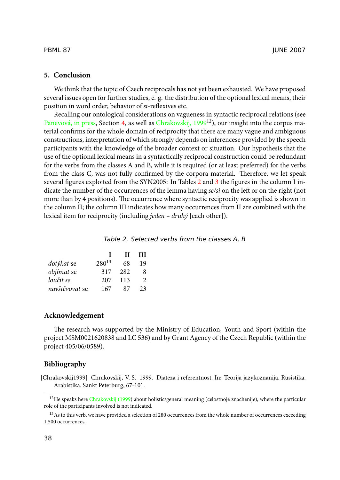#### **5. Conclusion**

We think that the topic of Czech reciprocals has not yet been exhausted. We have proposed several issues open for further studies, e. g. the distrib[utio](#page-11-1)n o[f th](#page-12-7)e optional lexical means, their position in word order, behavior of *si*-reflexives etc.

Recalling our ontological considerations on vagueness in syntactic reciprocal relations (see Panevová, in press, Section 4, as well as Chrakovskij, 1999<sup>12</sup>), our insight into the corpus material confirms for the whole domain of reciprocity that there are many vague and ambiguous constructions, interpretation of which strongly depends on inferencese provided by the speech participants with the knowledge of the broader context or situation. Our hypothesis that the use of the optional lexical means in a syntactically reciprocal construction could be redundant for the verbs from the classes A and B, while it is required (or at least preferred) for the verbs from the class C, was not fully confirmed by the corpora material. Therefore, we let speak several figures exploited from the SYN2005: In Tables 2 and 3 the figures in the column I indicate the number of the occurrences of the lemma having *se/si* on the left or on the right (not more than by 4 positions). The occurrence where syntactic reciprocity was applied is shown in the column II; the column III indicates how many occurrences from II are combined with the lexical item for reciprocity (including *jeden – druhý* [each other]).

#### <span id="page-11-1"></span>*Table 2. Selected verbs from the classes A, B*

|                |            | п   | ш              |
|----------------|------------|-----|----------------|
| dotýkat se     | $280^{13}$ | 68  | 19             |
| objímat se     | 317        | 282 | 8              |
| loučit se      | 207        | 113 | $\mathfrak{D}$ |
| navštěvovat se | 167        | 87  | 23             |

#### <span id="page-11-0"></span>**Acknowledge[ment](#page-11-0)**

The research was supported by the Ministry of Education, Youth and Sport (within the project MSM0021620838 and LC 536) and by Grant Agency of the Czech Republic (within the project 405/06/0589).

#### **Bibliography**

[Chrakovskij1999] Chrakovskij, V. S. 1999. Diateza i referentnost. In: Teorija jazykoznanija. Rusistika. Arabistika. Sankt Peterburg, 67-101.

<sup>&</sup>lt;sup>12</sup>He speaks here Chrakovskij (1999) about holistic/general meaning (celostnoje znachenije), where the particular role of the participants involved is not indicated.

<sup>&</sup>lt;sup>13</sup>As to this verb, we have provided a selection of 280 occurrences from the whole number of occurrences exceeding 1 500 occurrences.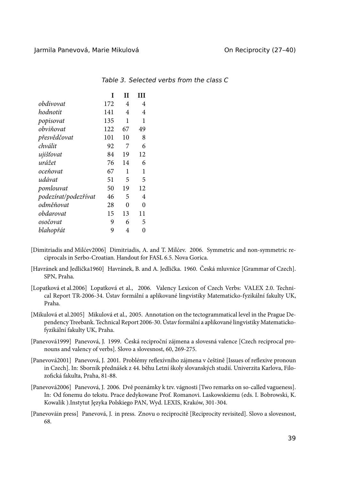| I   | Н  | ш  |
|-----|----|----|
| 172 | 4  | 4  |
| 141 | 4  | 4  |
| 135 | 1  | 1  |
| 122 | 67 | 49 |
| 101 | 10 | 8  |
| 92  | 7  | 6  |
| 84  | 19 | 12 |
| 76  | 14 | 6  |
| 67  | 1  | 1  |
| 51  | 5  | 5  |
| 50  | 19 | 12 |
| 46  | 5  | 4  |
| 28  | 0  | 0  |
| 15  | 13 | 11 |
| 9   | 6  | 5  |
| 9   | 4  | 0  |
|     |    |    |

<span id="page-12-7"></span>*Table 3. Selected verbs from the class C*

- [Dimitriadis and Milćev2006] Dimitriadis, A. and T. Milćev. 2006. Symmetric and non-symmetric reciprocals in Serbo-Croatian. Handout for FASL 6.5. Nova Gorica.
- <span id="page-12-6"></span>[Havránek and Jedlička1960] Havránek, B. and A. Jedlička. 1960. Česká mluvnice [Grammar of Czech]. SPN, Praha.
- <span id="page-12-4"></span>[Lopatková et al.2006] Lopatková et al., 2006. Valency Lexicon of Czech Verbs: VALEX 2.0. Technical Report TR-2006-34. Ústav formální a aplikované lingvistiky Matematicko-fyzikální fakulty UK, Praha.
- <span id="page-12-3"></span>[Mikulová et al.2005] Mikulová et al., 2005. Annotation on the tectogrammatical level in the Prague Dependency Treebank. Technical Report 2006-30. Ústav formální a aplikované lingvistiky Matematickofyzikální fakulty UK, Praha.
- <span id="page-12-1"></span>[Panevová1999] Panevová, J. 1999. Česká reciproční zájmena a slovesná valence [Czech reciprocal pronouns and valency of verbs]. Slovo a slovesnost, 60, 269-275.
- <span id="page-12-0"></span>[Panevová2001] Panevová, J. 2001. Problémy reflexívního zájmena v češtině [Issues of reflexive pronoun in Czech]. In: Sborník přednášek z 44. běhu Letní školy slovanských studií. Univerzita Karlova, Filozofická fakulta, Praha, 81-88.
- <span id="page-12-5"></span>[Panevová2006] Panevová, J. 2006. Dvě poznámky k tzv. vágnosti [Two remarks on so-called vagueness]. In: Od fonemu do tekstu. Prace dedykowane Prof. Romanovi. Laskowskiemu (eds. I. Bobrowski, K. Kowalik ).Instytut Języka Polskiego PAN, Wyd. LEXIS, Kraków, 301-304.
- <span id="page-12-2"></span>[Panevováin press] Panevová, J. in press. Znovu o reciprocitě [Reciprocity revisited]. Slovo a slovesnost, 68.